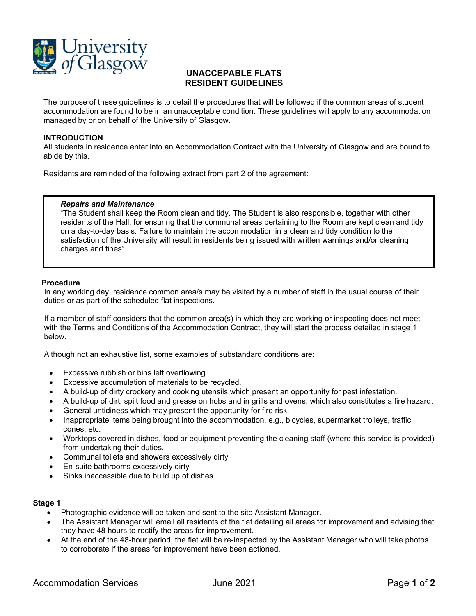

## **UNACCEPABLE FLATS RESIDENT GUIDELINES**

The purpose of these guidelines is to detail the procedures that will be followed if the common areas of student accommodation are found to be in an unacceptable condition. These guidelines will apply to any accommodation managed by or on behalf of the University of Glasgow.

### **INTRODUCTION**

All students in residence enter into an Accommodation Contract with the University of Glasgow and are bound to abide by this.

Residents are reminded of the following extract from part 2 of the agreement:

### *Repairs and Maintenance*

"The Student shall keep the Room clean and tidy. The Student is also responsible, together with other residents of the Hall, for ensuring that the communal areas pertaining to the Room are kept clean and tidy on a day-to-day basis. Failure to maintain the accommodation in a clean and tidy condition to the satisfaction of the University will result in residents being issued with written warnings and/or cleaning charges and fines".

### **Procedure**

In any working day, residence common area/s may be visited by a number of staff in the usual course of their duties or as part of the scheduled flat inspections.

If a member of staff considers that the common area(s) in which they are working or inspecting does not meet with the Terms and Conditions of the Accommodation Contract, they will start the process detailed in stage 1 below.

Although not an exhaustive list, some examples of substandard conditions are:

- Excessive rubbish or bins left overflowing.
- Excessive accumulation of materials to be recycled.
- A build-up of dirty crockery and cooking utensils which present an opportunity for pest infestation.
- A build-up of dirt, spilt food and grease on hobs and in grills and ovens, which also constitutes a fire hazard.
- General untidiness which may present the opportunity for fire risk.
- Inappropriate items being brought into the accommodation, e.g., bicycles, supermarket trolleys, traffic cones, etc.
- Worktops covered in dishes, food or equipment preventing the cleaning staff (where this service is provided) from undertaking their duties.
- Communal toilets and showers excessively dirty
- En-suite bathrooms excessively dirty
- Sinks inaccessible due to build up of dishes.

## **Stage 1**

- Photographic evidence will be taken and sent to the site Assistant Manager.
- The Assistant Manager will email all residents of the flat detailing all areas for improvement and advising that they have 48 hours to rectify the areas for improvement.
- At the end of the 48-hour period, the flat will be re-inspected by the Assistant Manager who will take photos to corroborate if the areas for improvement have been actioned.